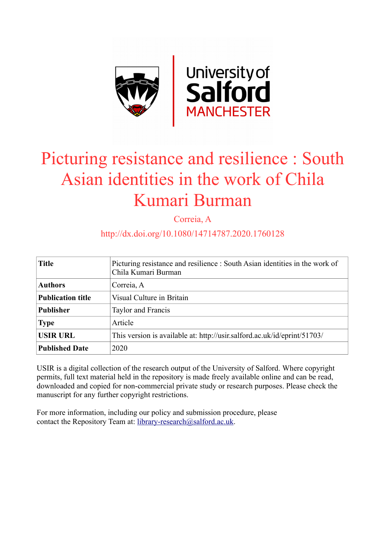

# Picturing resistance and resilience : South Asian identities in the work of Chila Kumari Burman

Correia, A

# http://dx.doi.org/10.1080/14714787.2020.1760128

| <b>Title</b>             | Picturing resistance and resilience : South Asian identities in the work of<br>Chila Kumari Burman |
|--------------------------|----------------------------------------------------------------------------------------------------|
| <b>Authors</b>           | Correia, A                                                                                         |
| <b>Publication title</b> | Visual Culture in Britain                                                                          |
| <b>Publisher</b>         | Taylor and Francis                                                                                 |
| <b>Type</b>              | Article                                                                                            |
| <b>USIR URL</b>          | This version is available at: http://usir.salford.ac.uk/id/eprint/51703/                           |
| <b>Published Date</b>    | 2020                                                                                               |

USIR is a digital collection of the research output of the University of Salford. Where copyright permits, full text material held in the repository is made freely available online and can be read, downloaded and copied for non-commercial private study or research purposes. Please check the manuscript for any further copyright restrictions.

For more information, including our policy and submission procedure, please contact the Repository Team at: [library-research@salford.ac.uk.](mailto:library-research@salford.ac.uk)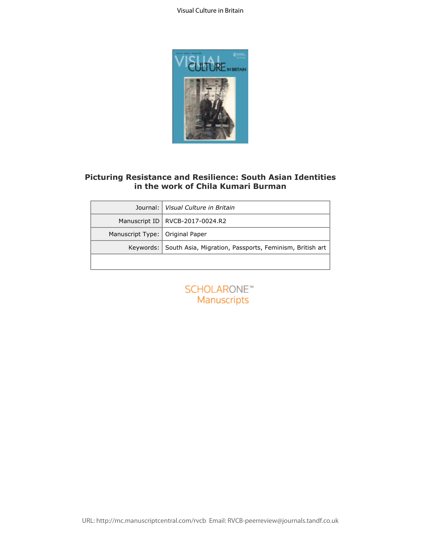

# **Picturing Resistance and Resilience: South Asian Identities in the work of Chila Kumari Burman**

| lournal:         | Visual Culture in Britain                                         |
|------------------|-------------------------------------------------------------------|
| Manuscript ID    | RVCB-2017-0024.R2                                                 |
| Manuscript Type: | Original Paper                                                    |
|                  | Keywords: South Asia, Migration, Passports, Feminism, British art |
|                  | <b>SCHOLARONE™</b><br><b>Manuscripts</b>                          |
|                  |                                                                   |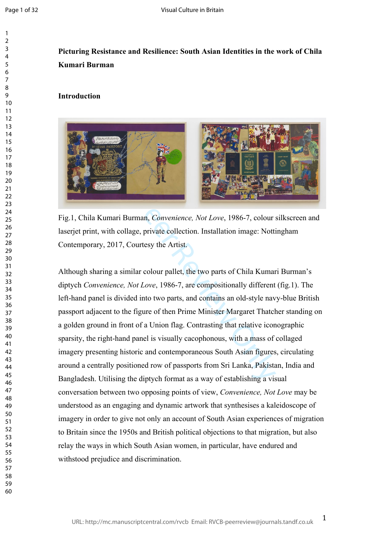$\mathbf{1}$  $\overline{2}$  $\overline{3}$  $\overline{4}$  $\overline{7}$ 

# **Picturing Resistance and Resilience: South Asian Identities in the work of Chila Kumari Burman**

# **Introduction**



Fig.1, Chila Kumari Burman, *Convenience, Not Love*, 1986-7, colour silkscreen and laserjet print, with collage, private collection. Installation image: Nottingham Contemporary, 2017, Courtesy the Artist.

For Personalistic State of the distance and the distance of passports from Sri Lanka, Pakistanian and the distance, Not Love, 1986-7, colour sith collage, private collection. Installation image: Notti 2017, Courtesy the Ar Although sharing a similar colour pallet, the two parts of Chila Kumari Burman's diptych *Convenience, Not Love*, 1986-7, are compositionally different (fig.1). The left-hand panel is divided into two parts, and contains an old-style navy-blue British passport adjacent to the figure of then Prime Minister Margaret Thatcher standing on a golden ground in front of a Union flag. Contrasting that relative iconographic sparsity, the right-hand panel is visually cacophonous, with a mass of collaged imagery presenting historic and contemporaneous South Asian figures, circulating around a centrally positioned row of passports from Sri Lanka, Pakistan, India and Bangladesh. Utilising the diptych format as a way of establishing a visual conversation between two opposing points of view, *Convenience, Not Love* may be understood as an engaging and dynamic artwork that synthesises a kaleidoscope of imagery in order to give not only an account of South Asian experiences of migration to Britain since the 1950s and British political objections to that migration, but also relay the ways in which South Asian women, in particular, have endured and withstood prejudice and discrimination.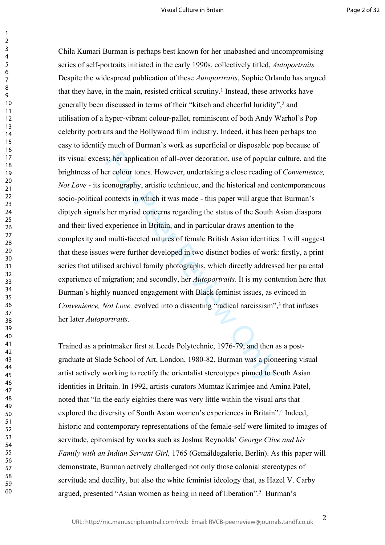s: her application of all-over decoration, use of popular<br>er colour tones. However, undertaking a close reading c<br>conography, artistic technique, and the historical and c<br>contexts in which it was made - this paper will arg Chila Kumari Burman is perhaps best known for her unabashed and uncompromising series of self-portraits initiated in the early 1990s, collectively titled, *Autoportraits.*  Despite the widespread publication of these *Autoportraits*, Sophie Orlando has argued that they have, in the main, resisted critical scrutiny. 1 Instead, these artworks have generally been discussed in terms of their "kitsch and cheerful luridity",<sup>2</sup> and utilisation of a hyper-vibrant colour-pallet, reminiscent of both Andy Warhol's Pop celebrity portraits and the Bollywood film industry. Indeed, it has been perhaps too easy to identify much of Burman's work as superficial or disposable pop because of its visual excess: her application of all-over decoration, use of popular culture, and the brightness of her colour tones. However, undertaking a close reading of *Convenience, Not Love* - its iconography, artistic technique, and the historical and contemporaneous socio-political contexts in which it was made - this paper will argue that Burman's diptych signals her myriad concerns regarding the status of the South Asian diaspora and their lived experience in Britain, and in particular draws attention to the complexity and multi-faceted natures of female British Asian identities. I will suggest that these issues were further developed in two distinct bodies of work: firstly, a print series that utilised archival family photographs, which directly addressed her parental experience of migration; and secondly, her *Autoportraits*. It is my contention here that Burman's highly nuanced engagement with Black feminist issues, as evinced in Convenience, Not Love, evolved into a dissenting "radical narcissism",<sup>3</sup> that infuses her later *Autoportraits.* 

Trained as a printmaker first at Leeds Polytechnic, 1976-79, and then as a postgraduate at Slade School of Art, London, 1980-82, Burman was a pioneering visual artist actively working to rectify the orientalist stereotypes pinned to South Asian identities in Britain. In 1992, artists-curators Mumtaz Karimjee and Amina Patel, noted that "In the early eighties there was very little within the visual arts that explored the diversity of South Asian women's experiences in Britain".<sup>4</sup> Indeed, historic and contemporary representations of the female-self were limited to images of servitude, epitomised by works such as Joshua Reynolds' *George Clive and his Family with an Indian Servant Girl,* 1765 (Gemäldegalerie, Berlin). As this paper will demonstrate, Burman actively challenged not only those colonial stereotypes of servitude and docility, but also the white feminist ideology that, as Hazel V. Carby argued, presented "Asian women as being in need of liberation". 5 Burman's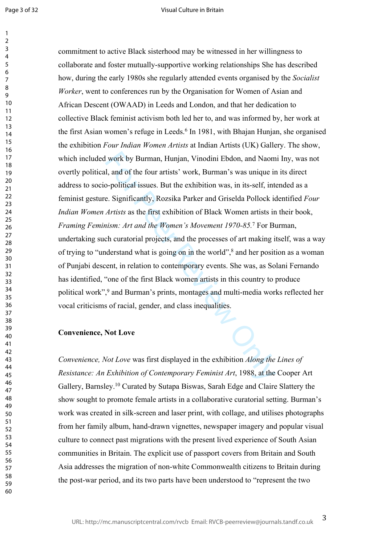Page 3 of 32

 $\mathbf{1}$ 

#### Visual Culture in Britain

I work by Burman, Hunjan, Vinodini Ebdon, and Naom<br>1, and of the four artists' work, Burman's was unique ir<br>-political issues. But the exhibition was, in its-self, inte.<br>Exignificantly, Rozsika Parker and Griselda Pollock commitment to active Black sisterhood may be witnessed in her willingness to collaborate and foster mutually-supportive working relationships She has described how, during the early 1980s she regularly attended events organised by the *Socialist Worker*, went to conferences run by the Organisation for Women of Asian and African Descent (OWAAD) in Leeds and London, and that her dedication to collective Black feminist activism both led her to, and was informed by, her work at the first Asian women's refuge in Leeds.<sup>6</sup> In 1981, with Bhajan Hunjan, she organised the exhibition *Four Indian Women Artists* at Indian Artists (UK) Gallery. The show, which included work by Burman, Hunjan, Vinodini Ebdon, and Naomi Iny, was not overtly political, and of the four artists' work, Burman's was unique in its direct address to socio-political issues. But the exhibition was, in its-self, intended as a feminist gesture. Significantly, Rozsika Parker and Griselda Pollock identified *Four Indian Women Artists* as the first exhibition of Black Women artists in their book, *Framing Feminism: Art and the Women's Movement 1970-85.* <sup>7</sup> For Burman, undertaking such curatorial projects, and the processes of art making itself, was a way of trying to "understand what is going on in the world",<sup>8</sup> and her position as a woman of Punjabi descent, in relation to contemporary events. She was, as Solani Fernando has identified, "one of the first Black women artists in this country to produce political work", 9 and Burman's prints, montages and multi-media works reflected her vocal criticisms of racial, gender, and class inequalities.

# **Convenience, Not Love**

*Convenience, Not Love* was first displayed in the exhibition *Along the Lines of Resistance: An Exhibition of Contemporary Feminist Art*, 1988, at the Cooper Art Gallery, Barnsley.<sup>10</sup> Curated by Sutapa Biswas, Sarah Edge and Claire Slattery the show sought to promote female artists in a collaborative curatorial setting. Burman's work was created in silk-screen and laser print, with collage, and utilises photographs from her family album, hand-drawn vignettes, newspaper imagery and popular visual culture to connect past migrations with the present lived experience of South Asian communities in Britain. The explicit use of passport covers from Britain and South Asia addresses the migration of non-white Commonwealth citizens to Britain during the post-war period, and its two parts have been understood to "represent the two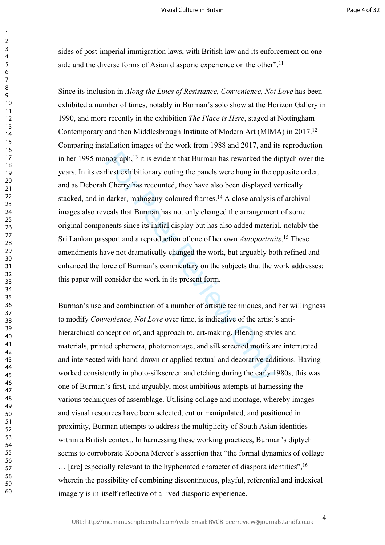sides of post-imperial immigration laws, with British law and its enforcement on one side and the diverse forms of Asian diasporic experience on the other".<sup>11</sup>

123456789

 $\mathbf{1}$  $\overline{2}$  $\overline{3}$  $\overline{4}$ 5 6  $\overline{7}$ 8  $\mathsf{o}$ 

mograph,<sup>13</sup> it is evident that Burman has reworked the c<br>liest exhibitionary outing the panels were hung in the o<br>Cherry has recounted, they have also been displayed v<br>darker, mahogany-coloured frames.<sup>14</sup> A close analysi Since its inclusion in *Along the Lines of Resistance, Convenience, Not Love* has been exhibited a number of times, notably in Burman's solo show at the Horizon Gallery in 1990, and more recently in the exhibition *The Place is Here*, staged at Nottingham Contemporary and then Middlesbrough Institute of Modern Art (MIMA) in 2017.<sup>12</sup> Comparing installation images of the work from 1988 and 2017, and its reproduction in her 1995 monograph,<sup>13</sup> it is evident that Burman has reworked the diptych over the years. In its earliest exhibitionary outing the panels were hung in the opposite order, and as Deborah Cherry has recounted, they have also been displayed vertically stacked, and in darker, mahogany-coloured frames.<sup>14</sup> A close analysis of archival images also reveals that Burman has not only changed the arrangement of some original components since its initial display but has also added material, notably the Sri Lankan passport and a reproduction of one of her own *Autoportraits* . <sup>15</sup> These amendments have not dramatically changed the work, but arguably both refined and enhanced the force of Burman's commentary on the subjects that the work addresses; this paper will consider the work in its present form.

Burman's use and combination of a number of artistic techniques, and her willingness to modify *Convenience, Not Love* over time, is indicative of the artist's antihierarchical conception of, and approach to, art-making. Blending styles and materials, printed ephemera, photomontage, and silkscreened motifs are interrupted and intersected with hand-drawn or applied textual and decorative additions. Having worked consistently in photo-silkscreen and etching during the early 1980s, this was one of Burman's first, and arguably, most ambitious attempts at harnessing the various techniques of assemblage. Utilising collage and montage, whereby images and visual resources have been selected, cut or manipulated, and positioned in proximity, Burman attempts to address the multiplicity of South Asian identities within a British context. In harnessing these working practices, Burman's diptych seems to corroborate Kobena Mercer's assertion that "the formal dynamics of collage … [are] especially relevant to the hyphenated character of diaspora identities",<sup>16</sup> wherein the possibility of combining discontinuous, playful, referential and indexical imagery is in-itself reflective of a lived diasporic experience.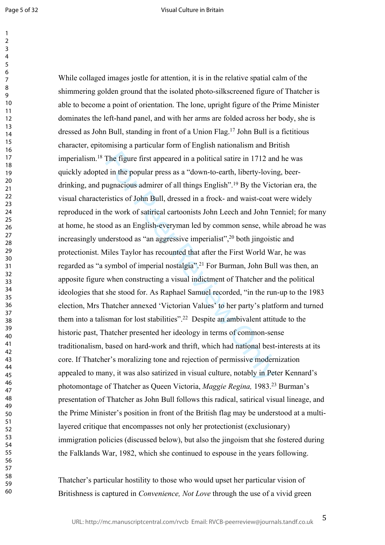The figure first appeared in a political satire in 1712 and<br>
d in the popular press as a "down-to-earth, liberty-lovin<br>
ugnacious admirer of all things English".<sup>19</sup> By the Vict<br>
ristics of John Bull, dressed in a frock- a While collaged images jostle for attention, it is in the relative spatial calm of the shimmering golden ground that the isolated photo-silkscreened figure of Thatcher is able to become a point of orientation. The lone, upright figure of the Prime Minister dominates the left-hand panel, and with her arms are folded across her body, she is dressed as John Bull, standing in front of a Union Flag.<sup>17</sup> John Bull is a fictitious character, epitomising a particular form of English nationalism and British imperialism.<sup>18</sup> The figure first appeared in a political satire in 1712 and he was quickly adopted in the popular press as a "down-to-earth, liberty-loving, beerdrinking, and pugnacious admirer of all things English".<sup>19</sup> By the Victorian era, the visual characteristics of John Bull, dressed in a frock- and waist-coat were widely reproduced in the work of satirical cartoonists John Leech and John Tenniel; for many at home, he stood as an English-everyman led by common sense, while abroad he was increasingly understood as "an aggressive imperialist",<sup>20</sup> both jingoistic and protectionist. Miles Taylor has recounted that after the First World War, he was regarded as "a symbol of imperial nostalgia".<sup>21</sup> For Burman, John Bull was then, an apposite figure when constructing a visual indictment of Thatcher and the political ideologies that she stood for. As Raphael Samuel recorded, "in the run-up to the 1983 election, Mrs Thatcher annexed 'Victorian Values' to her party's platform and turned them into a talisman for lost stabilities".<sup>22</sup> Despite an ambivalent attitude to the historic past, Thatcher presented her ideology in terms of common-sense traditionalism, based on hard-work and thrift, which had national best-interests at its core. If Thatcher's moralizing tone and rejection of permissive modernization appealed to many, it was also satirized in visual culture, notably in Peter Kennard's photomontage of Thatcher as Queen Victoria, *Maggie Regina,* 1983.<sup>23</sup> Burman's presentation of Thatcher as John Bull follows this radical, satirical visual lineage, and the Prime Minister's position in front of the British flag may be understood at a multilayered critique that encompasses not only her protectionist (exclusionary) immigration policies (discussed below), but also the jingoism that she fostered during the Falklands War, 1982, which she continued to espouse in the years following.

Thatcher's particular hostility to those who would upset her particular vision of Britishness is captured in *Convenience, Not Love* through the use of a vivid green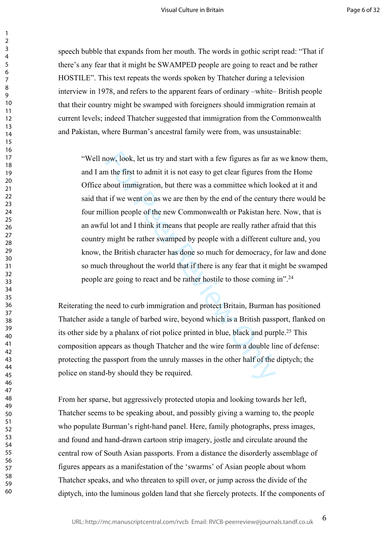speech bubble that expands from her mouth. The words in gothic script read: "That if there's any fear that it might be SWAMPED people are going to react and be rather HOSTILE". This text repeats the words spoken by Thatcher during a television interview in 1978, and refers to the apparent fears of ordinary –white– British people that their country might be swamped with foreigners should immigration remain at current levels; indeed Thatcher suggested that immigration from the Commonwealth and Pakistan, where Burman's ancestral family were from, was unsustainable:

123456789

 $\mathbf{1}$  $\overline{2}$  $\overline{3}$  $\overline{4}$ 5 6  $\overline{7}$ 8 9

ow, look, let us try and start with a few figures as far as<br>n the first to admit it is not easy to get clear figures from<br>bout immigration, but there was a committee which loo<br>t if we went on as we are then by the end of t "Well now, look, let us try and start with a few figures as far as we know them, and I am the first to admit it is not easy to get clear figures from the Home Office about immigration, but there was a committee which looked at it and said that if we went on as we are then by the end of the century there would be four million people of the new Commonwealth or Pakistan here. Now, that is an awful lot and I think it means that people are really rather afraid that this country might be rather swamped by people with a different culture and, you know, the British character has done so much for democracy, for law and done so much throughout the world that if there is any fear that it might be swamped people are going to react and be rather hostile to those coming in".<sup>24</sup>

Reiterating the need to curb immigration and protect Britain, Burman has positioned Thatcher aside a tangle of barbed wire, beyond which is a British passport, flanked on its other side by a phalanx of riot police printed in blue, black and purple.<sup>25</sup> This composition appears as though Thatcher and the wire form a double line of defense: protecting the passport from the unruly masses in the other half of the diptych; the police on stand-by should they be required.

From her sparse, but aggressively protected utopia and looking towards her left, Thatcher seems to be speaking about, and possibly giving a warning to, the people who populate Burman's right-hand panel. Here, family photographs, press images, and found and hand-drawn cartoon strip imagery, jostle and circulate around the central row of South Asian passports. From a distance the disorderly assemblage of figures appears as a manifestation of the 'swarms' of Asian people about whom Thatcher speaks, and who threaten to spill over, or jump across the divide of the diptych, into the luminous golden land that she fiercely protects. If the components of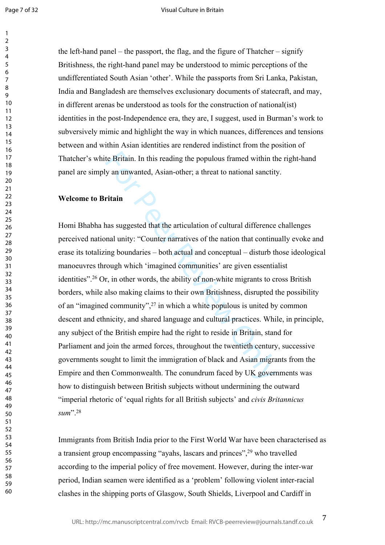Page 7 of 32

60

the left-hand panel – the passport, the flag, and the figure of Thatcher – signify Britishness, the right-hand panel may be understood to mimic perceptions of the undifferentiated South Asian 'other'. While the passports from Sri Lanka, Pakistan, India and Bangladesh are themselves exclusionary documents of statecraft, and may, in different arenas be understood as tools for the construction of national(ist) identities in the post-Independence era, they are, I suggest, used in Burman's work to subversively mimic and highlight the way in which nuances, differences and tensions between and within Asian identities are rendered indistinct from the position of Thatcher's white Britain. In this reading the populous framed within the right-hand panel are simply an unwanted, Asian-other; a threat to national sanctity.

### **Welcome to Britain**

te Britain. In this reading the populous framed within the y an unwanted, Asian-other; a threat to national sanctit<br> **ritain**<br>
and sure and the articulation of cultural difference<br>
and unity: "Counter narratives of the nat Homi Bhabha has suggested that the articulation of cultural difference challenges perceived national unity: "Counter narratives of the nation that continually evoke and erase its totalizing boundaries – both actual and conceptual – disturb those ideological manoeuvres through which 'imagined communities' are given essentialist identities".<sup>26</sup> Or, in other words, the ability of non-white migrants to cross British borders, while also making claims to their own Britishness, disrupted the possibility of an "imagined community",<sup>27</sup> in which a white populous is united by common descent and ethnicity, and shared language and cultural practices. While, in principle, any subject of the British empire had the right to reside in Britain, stand for Parliament and join the armed forces, throughout the twentieth century, successive governments sought to limit the immigration of black and Asian migrants from the Empire and then Commonwealth. The conundrum faced by UK governments was how to distinguish between British subjects without undermining the outward "imperial rhetoric of 'equal rights for all British subjects' and *civis Britannicus sum*"<sup>28</sup>

Immigrants from British India prior to the First World War have been characterised as a transient group encompassing "ayahs, lascars and princes",<sup>29</sup> who travelled according to the imperial policy of free movement. However, during the inter-war period, Indian seamen were identified as a 'problem' following violent inter-racial clashes in the shipping ports of Glasgow, South Shields, Liverpool and Cardiff in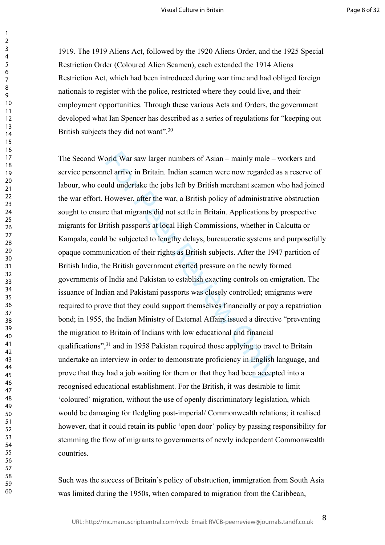1919. The 1919 Aliens Act, followed by the 1920 Aliens Order, and the 1925 Special Restriction Order (Coloured Alien Seamen), each extended the 1914 Aliens Restriction Act, which had been introduced during war time and had obliged foreign nationals to register with the police, restricted where they could live, and their employment opportunities. Through these various Acts and Orders, the government developed what Ian Spencer has described as a series of regulations for "keeping out British subjects they did not want".<sup>30</sup>

orld War saw larger numbers of Asian – mainly male –<br>nel arrive in Britain. Indian seamen were now regarded<br>uld undertake the jobs left by British merchant seamen<br>However, after the war, a British policy of administrative<br> The Second World War saw larger numbers of Asian – mainly male – workers and service personnel arrive in Britain. Indian seamen were now regarded as a reserve of labour, who could undertake the jobs left by British merchant seamen who had joined the war effort. However, after the war, a British policy of administrative obstruction sought to ensure that migrants did not settle in Britain. Applications by prospective migrants for British passports at local High Commissions, whether in Calcutta or Kampala, could be subjected to lengthy delays, bureaucratic systems and purposefully opaque communication of their rights as British subjects. After the 1947 partition of British India, the British government exerted pressure on the newly formed governments of India and Pakistan to establish exacting controls on emigration. The issuance of Indian and Pakistani passports was closely controlled; emigrants were required to prove that they could support themselves financially or pay a repatriation bond; in 1955, the Indian Ministry of External Affairs issued a directive "preventing the migration to Britain of Indians with low educational and financial qualifications",<sup>31</sup> and in 1958 Pakistan required those applying to travel to Britain undertake an interview in order to demonstrate proficiency in English language, and prove that they had a job waiting for them or that they had been accepted into a recognised educational establishment. For the British, it was desirable to limit 'coloured' migration, without the use of openly discriminatory legislation, which would be damaging for fledgling post-imperial/ Commonwealth relations; it realised however, that it could retain its public 'open door' policy by passing responsibility for stemming the flow of migrants to governments of newly independent Commonwealth countries.

Such was the success of Britain's policy of obstruction, immigration from South Asia was limited during the 1950s, when compared to migration from the Caribbean,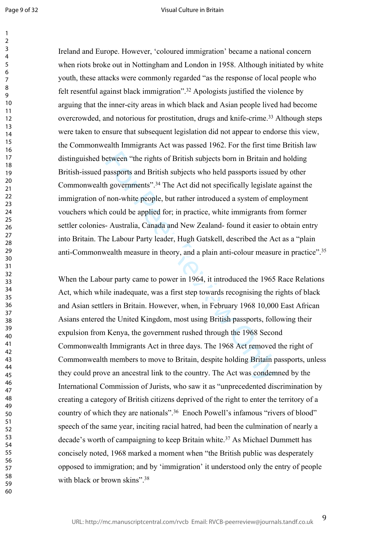$\mathbf{1}$ 

#### Visual Culture in Britain

60

Ireland and Europe. However, 'coloured immigration' became a national concern when riots broke out in Nottingham and London in 1958. Although initiated by white youth, these attacks were commonly regarded "as the response of local people who felt resentful against black immigration".<sup>32</sup> Apologists justified the violence by arguing that the inner-city areas in which black and Asian people lived had become overcrowded, and notorious for prostitution, drugs and knife-crime.<sup>33</sup> Although steps were taken to ensure that subsequent legislation did not appear to endorse this view, the Commonwealth Immigrants Act was passed 1962. For the first time British law distinguished between "the rights of British subjects born in Britain and holding British-issued passports and British subjects who held passports issued by other Commonwealth governments".<sup>34</sup> The Act did not specifically legislate against the immigration of non-white people, but rather introduced a system of employment vouchers which could be applied for; in practice, white immigrants from former settler colonies- Australia, Canada and New Zealand- found it easier to obtain entry into Britain. The Labour Party leader, Hugh Gatskell, described the Act as a "plain anti-Commonwealth measure in theory, and a plain anti-colour measure in practice".<sup>35</sup>

etween "the rights of British subjects born in Britain and<br>passports and British subjects who held passports issued<br>n governments".<sup>34</sup> The Act did not specifically legislate<br>'non-white people, but rather introduced a syst When the Labour party came to power in 1964, it introduced the 1965 Race Relations Act, which while inadequate, was a first step towards recognising the rights of black and Asian settlers in Britain. However, when, in February 1968 10,000 East African Asians entered the United Kingdom, most using British passports, following their expulsion from Kenya, the government rushed through the 1968 Second Commonwealth Immigrants Act in three days. The 1968 Act removed the right of Commonwealth members to move to Britain, despite holding Britain passports, unless they could prove an ancestral link to the country. The Act was condemned by the International Commission of Jurists, who saw it as "unprecedented discrimination by creating a category of British citizens deprived of the right to enter the territory of a country of which they are nationals".<sup>36</sup> Enoch Powell's infamous "rivers of blood" speech of the same year, inciting racial hatred, had been the culmination of nearly a decade's worth of campaigning to keep Britain white.<sup>37</sup> As Michael Dummett has concisely noted, 1968 marked a moment when "the British public was desperately opposed to immigration; and by 'immigration' it understood only the entry of people with black or brown skins"<sup>38</sup>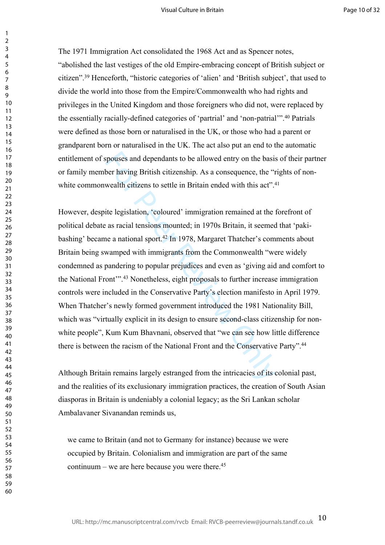The 1971 Immigration Act consolidated the 1968 Act and as Spencer notes, "abolished the last vestiges of the old Empire-embracing concept of British subject or citizen".<sup>39</sup> Henceforth, "historic categories of 'alien' and 'British subject', that used to divide the world into those from the Empire/Commonwealth who had rights and privileges in the United Kingdom and those foreigners who did not, were replaced by the essentially racially-defined categories of 'partrial' and 'non-patrial'".<sup>40</sup> Patrials were defined as those born or naturalised in the UK, or those who had a parent or grandparent born or naturalised in the UK. The act also put an end to the automatic entitlement of spouses and dependants to be allowed entry on the basis of their partner or family member having British citizenship. As a consequence, the "rights of nonwhite commonwealth citizens to settle in Britain ended with this act".<sup>41</sup>

spouses and dependants to be allowed entry on the basis<br>ber having British citizenship. As a consequence, the "r<br>wealth citizens to settle in Britain ended with this act".<sup>4</sup><br>ite legislation, "coloured' immigration remaine However, despite legislation, 'coloured' immigration remained at the forefront of political debate as racial tensions mounted; in 1970s Britain, it seemed that 'pakibashing' became a national sport.<sup>42</sup> In 1978, Margaret Thatcher's comments about Britain being swamped with immigrants from the Commonwealth "were widely condemned as pandering to popular prejudices and even as 'giving aid and comfort to the National Front'".<sup>43</sup> Nonetheless, eight proposals to further increase immigration controls were included in the Conservative Party's election manifesto in April 1979. When Thatcher's newly formed government introduced the 1981 Nationality Bill, which was "virtually explicit in its design to ensure second-class citizenship for nonwhite people", Kum Kum Bhavnani, observed that "we can see how little difference there is between the racism of the National Front and the Conservative Party".<sup>44</sup>

Although Britain remains largely estranged from the intricacies of its colonial past, and the realities of its exclusionary immigration practices, the creation of South Asian diasporas in Britain is undeniably a colonial legacy; as the Sri Lankan scholar Ambalavaner Sivanandan reminds us,

we came to Britain (and not to Germany for instance) because we were occupied by Britain. Colonialism and immigration are part of the same continuum – we are here because you were there. $45$ 

 $\mathbf{1}$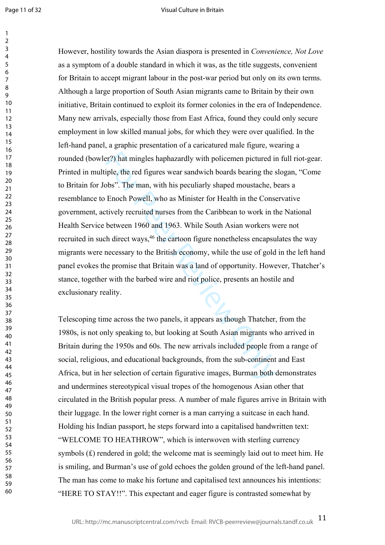$\mathbf{1}$ 

#### Visual Culture in Britain

er?) hat mingles haphazardly with policemen pictured in<br>pile, the red figures wear sandwich boards bearing the s<br>bbs". The man, with his peculiarly shaped moustache, b<br>Enoch Powell, who as Minister for Health in the Consec However, hostility towards the Asian diaspora is presented in *Convenience, Not Love* as a symptom of a double standard in which it was, as the title suggests, convenient for Britain to accept migrant labour in the post-war period but only on its own terms. Although a large proportion of South Asian migrants came to Britain by their own initiative, Britain continued to exploit its former colonies in the era of Independence. Many new arrivals, especially those from East Africa, found they could only secure employment in low skilled manual jobs, for which they were over qualified. In the left-hand panel, a graphic presentation of a caricatured male figure, wearing a rounded (bowler?) hat mingles haphazardly with policemen pictured in full riot-gear. Printed in multiple, the red figures wear sandwich boards bearing the slogan, "Come to Britain for Jobs". The man, with his peculiarly shaped moustache, bears a resemblance to Enoch Powell, who as Minister for Health in the Conservative government, actively recruited nurses from the Caribbean to work in the National Health Service between 1960 and 1963. While South Asian workers were not recruited in such direct ways,<sup>46</sup> the cartoon figure nonetheless encapsulates the way migrants were necessary to the British economy, while the use of gold in the left hand panel evokes the promise that Britain was a land of opportunity. However, Thatcher's stance, together with the barbed wire and riot police, presents an hostile and exclusionary reality.

Telescoping time across the two panels, it appears as though Thatcher, from the 1980s, is not only speaking to, but looking at South Asian migrants who arrived in Britain during the 1950s and 60s. The new arrivals included people from a range of social, religious, and educational backgrounds, from the sub-continent and East Africa, but in her selection of certain figurative images, Burman both demonstrates and undermines stereotypical visual tropes of the homogenous Asian other that circulated in the British popular press. A number of male figures arrive in Britain with their luggage. In the lower right corner is a man carrying a suitcase in each hand. Holding his Indian passport, he steps forward into a capitalised handwritten text: "WELCOME TO HEATHROW", which is interwoven with sterling currency symbols (£) rendered in gold; the welcome mat is seemingly laid out to meet him. He is smiling, and Burman's use of gold echoes the golden ground of the left-hand panel. The man has come to make his fortune and capitalised text announces his intentions: "HERE TO STAY!!". This expectant and eager figure is contrasted somewhat by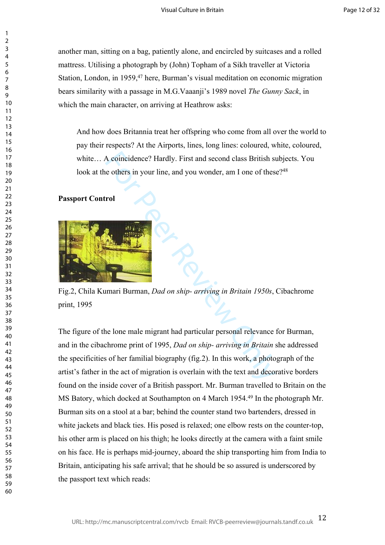another man, sitting on a bag, patiently alone, and encircled by suitcases and a rolled mattress. Utilising a photograph by (John) Topham of a Sikh traveller at Victoria Station, London, in 1959, <sup>47</sup> here, Burman's visual meditation on economic migration bears similarity with a passage in M.G.Vaaanji's 1989 novel *The Gunny Sack*, in which the main character, on arriving at Heathrow asks:

And how does Britannia treat her offspring who come from all over the world to pay their respects? At the Airports, lines, long lines: coloured, white, coloured, white… A coincidence? Hardly. First and second class British subjects. You look at the others in your line, and you wonder, am I one of these?<sup>48</sup>

# **Passport Control**



Fig.2, Chila Kumari Burman, *Dad on ship- arriving in Britain 1950s*, Cibachrome print, 1995

A coincidence? Hardly. First and second class British st<br>
a others in your line, and you wonder, am I one of these<br>
rol<br>
rol<br>
For Peer Review Only a consider the state of the state of the state of the peer Review Only<br>
the The figure of the lone male migrant had particular personal relevance for Burman, and in the cibachrome print of 1995, *Dad on ship- arriving in Britain* she addressed the specificities of her familial biography (fig.2). In this work, a photograph of the artist's father in the act of migration is overlain with the text and decorative borders found on the inside cover of a British passport. Mr. Burman travelled to Britain on the MS Batory, which docked at Southampton on 4 March 1954.<sup>49</sup> In the photograph Mr. Burman sits on a stool at a bar; behind the counter stand two bartenders, dressed in white jackets and black ties. His posed is relaxed; one elbow rests on the counter-top, his other arm is placed on his thigh; he looks directly at the camera with a faint smile on his face. He is perhaps mid-journey, aboard the ship transporting him from India to Britain, anticipating his safe arrival; that he should be so assured is underscored by the passport text which reads:

 $\mathbf{1}$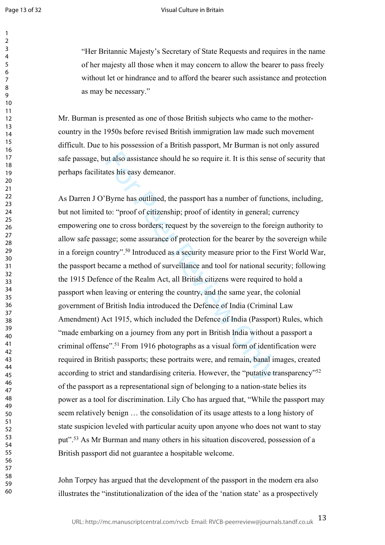$\mathbf{1}$  $\overline{2}$  $\overline{3}$  $\overline{4}$ 5 6  $\overline{7}$ 8 9

#### Visual Culture in Britain

"Her Britannic Majesty's Secretary of State Requests and requires in the name of her majesty all those when it may concern to allow the bearer to pass freely without let or hindrance and to afford the bearer such assistance and protection as may be necessary."

Mr. Burman is presented as one of those British subjects who came to the mothercountry in the 1950s before revised British immigration law made such movement difficult. Due to his possession of a British passport, Mr Burman is not only assured safe passage, but also assistance should he so require it. It is this sense of security that perhaps facilitates his easy demeanor.

at also assistance should he so require it. It is this sense<br>tes his easy demeanor.<br>Byrne has outlined, the passport has a number of functio: "proof of eitizenship; proof of identity in general; c<br>ie to cross borders; requ As Darren J O'Byrne has outlined, the passport has a number of functions, including, but not limited to: "proof of citizenship; proof of identity in general; currency empowering one to cross borders; request by the sovereign to the foreign authority to allow safe passage; some assurance of protection for the bearer by the sovereign while in a foreign country".<sup>50</sup> Introduced as a security measure prior to the First World War, the passport became a method of surveillance and tool for national security; following the 1915 Defence of the Realm Act, all British citizens were required to hold a passport when leaving or entering the country, and the same year, the colonial government of British India introduced the Defence of India (Criminal Law Amendment) Act 1915, which included the Defence of India (Passport) Rules, which "made embarking on a journey from any port in British India without a passport a criminal offense".<sup>51</sup> From 1916 photographs as a visual form of identification were required in British passports; these portraits were, and remain, banal images, created according to strict and standardising criteria. However, the "putative transparency"<sup>52</sup> of the passport as a representational sign of belonging to a nation-state belies its power as a tool for discrimination. Lily Cho has argued that, "While the passport may seem relatively benign … the consolidation of its usage attests to a long history of state suspicion leveled with particular acuity upon anyone who does not want to stay put".<sup>53</sup> As Mr Burman and many others in his situation discovered, possession of a British passport did not guarantee a hospitable welcome.

John Torpey has argued that the development of the passport in the modern era also illustrates the "institutionalization of the idea of the 'nation state' as a prospectively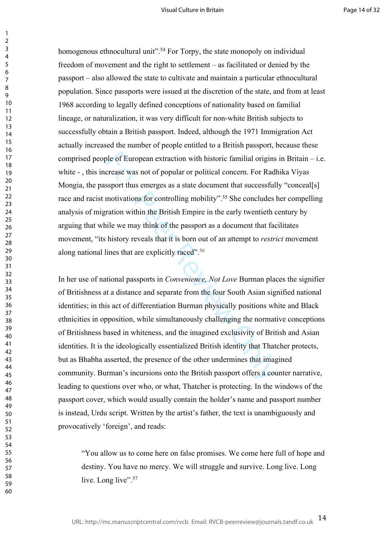homogenous ethnocultural unit".<sup>54</sup> For Torpy, the state monopoly on individual freedom of movement and the right to settlement – as facilitated or denied by the passport – also allowed the state to cultivate and maintain a particular ethnocultural population. Since passports were issued at the discretion of the state, and from at least 1968 according to legally defined conceptions of nationality based on familial lineage, or naturalization, it was very difficult for non-white British subjects to successfully obtain a British passport. Indeed, although the 1971 Immigration Act actually increased the number of people entitled to a British passport, because these comprised people of European extraction with historic familial origins in Britain – i.e. white -, this increase was not of popular or political concern. For Radhika Viyas Mongia, the passport thus emerges as a state document that successfully "conceal[s] race and racist motivations for controlling mobility".<sup>55</sup> She concludes her compelling analysis of migration within the British Empire in the early twentieth century by arguing that while we may think of the passport as a document that facilitates movement, "its history reveals that it is born out of an attempt to *restrict* movement along national lines that are explicitly raced".<sup>56</sup>

ble of European extraction with historic familial origins<br>crease was not of popular or political concern. For Rad<br>ssport thus emerges as a state document that successful<br>motivations for controlling mobility".<sup>55</sup> She concl In her use of national passports in *Convenience, Not Love* Burman places the signifier of Britishness at a distance and separate from the four South Asian signified national identities; in this act of differentiation Burman physically positions white and Black ethnicities in opposition, while simultaneously challenging the normative conceptions of Britishness based in whiteness, and the imagined exclusivity of British and Asian identities. It is the ideologically essentialized British identity that Thatcher protects, but as Bhabha asserted, the presence of the other undermines that imagined community. Burman's incursions onto the British passport offers a counter narrative, leading to questions over who, or what, Thatcher is protecting. In the windows of the passport cover, which would usually contain the holder's name and passport number is instead, Urdu script. Written by the artist's father, the text is unambiguously and provocatively 'foreign', and reads:

"You allow us to come here on false promises. We come here full of hope and destiny. You have no mercy. We will struggle and survive. Long live. Long live. Long live".<sup>57</sup>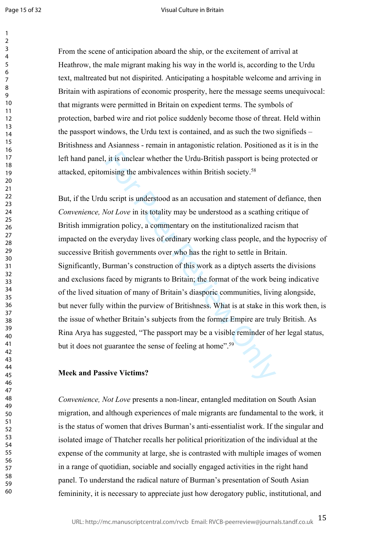$\mathbf{1}$ 

#### Visual Culture in Britain

60

From the scene of anticipation aboard the ship, or the excitement of arrival at Heathrow, the male migrant making his way in the world is, according to the Urdu text, maltreated but not dispirited. Anticipating a hospitable welcome and arriving in Britain with aspirations of economic prosperity, here the message seems unequivocal: that migrants were permitted in Britain on expedient terms. The symbols of protection, barbed wire and riot police suddenly become those of threat. Held within the passport windows, the Urdu text is contained, and as such the two signifieds – Britishness and Asianness - remain in antagonistic relation. Positioned as it is in the left hand panel, it is unclear whether the Urdu-British passport is being protected or attacked, epitomising the ambivalences within British society.<sup>58</sup>

is it is unclear whether the Urdu-British passport is being<br>mising the ambivalences within British society.<sup>58</sup><br>1 script is understood as an accusation and statement of<br>*Not Love* in its totality may be understood as a sc But, if the Urdu script is understood as an accusation and statement of defiance, then *Convenience, Not Love* in its totality may be understood as a scathing critique of British immigration policy, a commentary on the institutionalized racism that impacted on the everyday lives of ordinary working class people, and the hypocrisy of successive British governments over who has the right to settle in Britain. Significantly, Burman's construction of this work as a diptych asserts the divisions and exclusions faced by migrants to Britain; the format of the work being indicative of the lived situation of many of Britain's diasporic communities, living alongside, but never fully within the purview of Britishness. What is at stake in this work then, is the issue of whether Britain's subjects from the former Empire are truly British. As Rina Arya has suggested, "The passport may be a visible reminder of her legal status, but it does not guarantee the sense of feeling at home".<sup>59</sup>

# **Meek and Passive Victims?**

*Convenience, Not Love* presents a non-linear, entangled meditation on South Asian migration, and although experiences of male migrants are fundamental to the work*,* it is the status of women that drives Burman's anti-essentialist work. If the singular and isolated image of Thatcher recalls her political prioritization of the individual at the expense of the community at large, she is contrasted with multiple images of women in a range of quotidian, sociable and socially engaged activities in the right hand panel. To understand the radical nature of Burman's presentation of South Asian femininity, it is necessary to appreciate just how derogatory public, institutional, and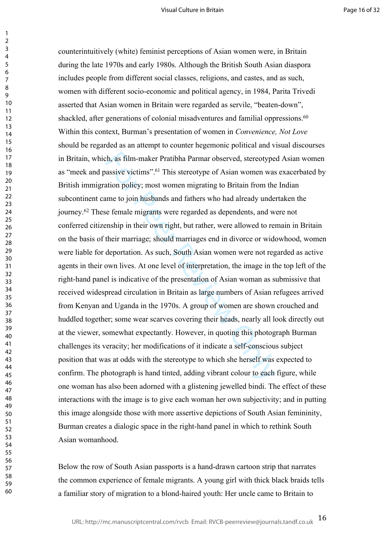th, as film-maker Pratibha Parmar observed, stereotype<br>aassive victims".<sup>61</sup> This stereotype of Asian women was<br>assive victims".<sup>61</sup> This stereotype of Asian women was<br>ation policy; most women migrating to Britain from the counterintuitively (white) feminist perceptions of Asian women were, in Britain during the late 1970s and early 1980s. Although the British South Asian diaspora includes people from different social classes, religions, and castes, and as such, women with different socio-economic and political agency, in 1984, Parita Trivedi asserted that Asian women in Britain were regarded as servile, "beaten-down", shackled, after generations of colonial misadventures and familial oppressions.<sup>60</sup> Within this context, Burman's presentation of women in *Convenience, Not Love* should be regarded as an attempt to counter hegemonic political and visual discourses in Britain, which, as film-maker Pratibha Parmar observed, stereotyped Asian women as "meek and passive victims".<sup>61</sup> This stereotype of Asian women was exacerbated by British immigration policy; most women migrating to Britain from the Indian subcontinent came to join husbands and fathers who had already undertaken the journey.<sup>62</sup> These female migrants were regarded as dependents, and were not conferred citizenship in their own right, but rather, were allowed to remain in Britain on the basis of their marriage; should marriages end in divorce or widowhood, women were liable for deportation. As such, South Asian women were not regarded as active agents in their own lives. At one level of interpretation, the image in the top left of the right-hand panel is indicative of the presentation of Asian woman as submissive that received widespread circulation in Britain as large numbers of Asian refugees arrived from Kenyan and Uganda in the 1970s. A group of women are shown crouched and huddled together; some wear scarves covering their heads, nearly all look directly out at the viewer, somewhat expectantly. However, in quoting this photograph Burman challenges its veracity; her modifications of it indicate a self-conscious subject position that was at odds with the stereotype to which she herself was expected to confirm. The photograph is hand tinted, adding vibrant colour to each figure, while one woman has also been adorned with a glistening jewelled bindi. The effect of these interactions with the image is to give each woman her own subjectivity; and in putting this image alongside those with more assertive depictions of South Asian femininity, Burman creates a dialogic space in the right-hand panel in which to rethink South Asian womanhood.

Below the row of South Asian passports is a hand-drawn cartoon strip that narrates the common experience of female migrants. A young girl with thick black braids tells a familiar story of migration to a blond-haired youth: Her uncle came to Britain to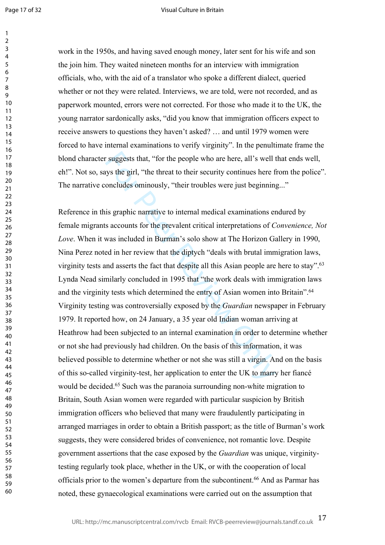$\mathbf{1}$ 

#### Visual Culture in Britain

60

work in the 1950s, and having saved enough money, later sent for his wife and son the join him. They waited nineteen months for an interview with immigration officials, who, with the aid of a translator who spoke a different dialect, queried whether or not they were related. Interviews, we are told, were not recorded, and as paperwork mounted, errors were not corrected. For those who made it to the UK, the young narrator sardonically asks, "did you know that immigration officers expect to receive answers to questions they haven't asked? … and until 1979 women were forced to have internal examinations to verify virginity". In the penultimate frame the blond character suggests that, "for the people who are here, all's well that ends well, eh!". Not so, says the girl, "the threat to their security continues here from the police". The narrative concludes ominously, "their troubles were just beginning..."

suggests that, "for the people who are here, all's well the syst the girl, "the threat to their security continues here f oncludes ominously, "their troubles were just beginning is graphic narrative to internal medical ex Reference in this graphic narrative to internal medical examinations endured by female migrants accounts for the prevalent critical interpretations of *Convenience, Not Love*. When it was included in Burman's solo show at The Horizon Gallery in 1990, Nina Perez noted in her review that the diptych "deals with brutal immigration laws, virginity tests and asserts the fact that despite all this Asian people are here to stay".<sup>63</sup> Lynda Nead similarly concluded in 1995 that "the work deals with immigration laws and the virginity tests which determined the entry of Asian women into Britain".<sup>64</sup> Virginity testing was controversially exposed by the *Guardian* newspaper in February 1979. It reported how, on 24 January, a 35 year old Indian woman arriving at Heathrow had been subjected to an internal examination in order to determine whether or not she had previously had children. On the basis of this information, it was believed possible to determine whether or not she was still a virgin. And on the basis of this so-called virginity-test, her application to enter the UK to marry her fiancé would be decided.<sup>65</sup> Such was the paranoia surrounding non-white migration to Britain, South Asian women were regarded with particular suspicion by British immigration officers who believed that many were fraudulently participating in arranged marriages in order to obtain a British passport; as the title of Burman's work suggests, they were considered brides of convenience, not romantic love. Despite government assertions that the case exposed by the *Guardian* was unique, virginitytesting regularly took place, whether in the UK, or with the cooperation of local officials prior to the women's departure from the subcontinent.<sup>66</sup> And as Parmar has noted, these gynaecological examinations were carried out on the assumption that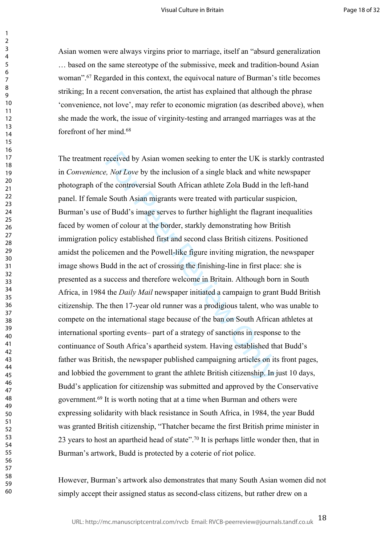Asian women were always virgins prior to marriage, itself an "absurd generalization … based on the same stereotype of the submissive, meek and tradition-bound Asian woman".<sup>67</sup> Regarded in this context, the equivocal nature of Burman's title becomes striking; In a recent conversation, the artist has explained that although the phrase 'convenience, not love', may refer to economic migration (as described above), when she made the work, the issue of virginity-testing and arranged marriages was at the forefront of her mind.<sup>68</sup>

received by Asian women seeking to enter the UK is ste, Not Love by the inclusion of a single black and white<br>
the controversial South African athlete Zola Budd in the<br>
South Asian migrants were treated with particular sus The treatment received by Asian women seeking to enter the UK is starkly contrasted in *Convenience, Not Love* by the inclusion of a single black and white newspaper photograph of the controversial South African athlete Zola Budd in the left-hand panel. If female South Asian migrants were treated with particular suspicion, Burman's use of Budd's image serves to further highlight the flagrant inequalities faced by women of colour at the border, starkly demonstrating how British immigration policy established first and second class British citizens. Positioned amidst the policemen and the Powell-like figure inviting migration, the newspaper image shows Budd in the act of crossing the finishing-line in first place: she is presented as a success and therefore welcome in Britain. Although born in South Africa, in 1984 the *Daily Mail* newspaper initiated a campaign to grant Budd British citizenship. The then 17-year old runner was a prodigious talent, who was unable to compete on the international stage because of the ban on South African athletes at international sporting events– part of a strategy of sanctions in response to the continuance of South Africa's apartheid system. Having established that Budd's father was British, the newspaper published campaigning articles on its front pages, and lobbied the government to grant the athlete British citizenship. In just 10 days, Budd's application for citizenship was submitted and approved by the Conservative government.<sup>69</sup> It is worth noting that at a time when Burman and others were expressing solidarity with black resistance in South Africa, in 1984, the year Budd was granted British citizenship, "Thatcher became the first British prime minister in 23 years to host an apartheid head of state".<sup>70</sup> It is perhaps little wonder then, that in Burman's artwork, Budd is protected by a coterie of riot police.

However, Burman's artwork also demonstrates that many South Asian women did not simply accept their assigned status as second-class citizens, but rather drew on a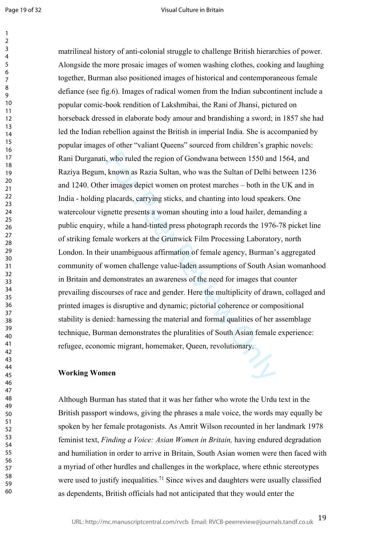Page 19 of 32

 $\mathbf{1}$ 

#### Visual Culture in Britain

I, who ruled the region of Gondwana between 1550 and<br>known as Razia Sultan, who was the Sultan of Delhi b<br>r images depict women on protest marches – both in th<br>placards, carrying sticks, and chanting into loud speake<br>gnett matrilineal history of anti-colonial struggle to challenge British hierarchies of power. Alongside the more prosaic images of women washing clothes, cooking and laughing together, Burman also positioned images of historical and contemporaneous female defiance (see fig.6). Images of radical women from the Indian subcontinent include a popular comic-book rendition of Lakshmibai, the Rani of Jhansi, pictured on horseback dressed in elaborate body amour and brandishing a sword; in 1857 she had led the Indian rebellion against the British in imperial India. She is accompanied by popular images of other "valiant Queens" sourced from children's graphic novels: Rani Durganati, who ruled the region of Gondwana between 1550 and 1564, and Raziya Begum, known as Razia Sultan, who was the Sultan of Delhi between 1236 and 1240. Other images depict women on protest marches – both in the UK and in India - holding placards, carrying sticks, and chanting into loud speakers. One watercolour vignette presents a woman shouting into a loud hailer, demanding a public enquiry, while a hand-tinted press photograph records the 1976-78 picket line of striking female workers at the Grunwick Film Processing Laboratory, north London. In their unambiguous affirmation of female agency, Burman's aggregated community of women challenge value-laden assumptions of South Asian womanhood in Britain and demonstrates an awareness of the need for images that counter prevailing discourses of race and gender. Here the multiplicity of drawn, collaged and printed images is disruptive and dynamic; pictorial coherence or compositional stability is denied: harnessing the material and formal qualities of her assemblage technique, Burman demonstrates the pluralities of South Asian female experience: refugee, economic migrant, homemaker, Queen, revolutionary.

## **Working Women**

Although Burman has stated that it was her father who wrote the Urdu text in the British passport windows, giving the phrases a male voice, the words may equally be spoken by her female protagonists. As Amrit Wilson recounted in her landmark 1978 feminist text, *Finding a Voice: Asian Women in Britain,* having endured degradation and humiliation in order to arrive in Britain, South Asian women were then faced with a myriad of other hurdles and challenges in the workplace, where ethnic stereotypes were used to justify inequalities.<sup>71</sup> Since wives and daughters were usually classified as dependents, British officials had not anticipated that they would enter the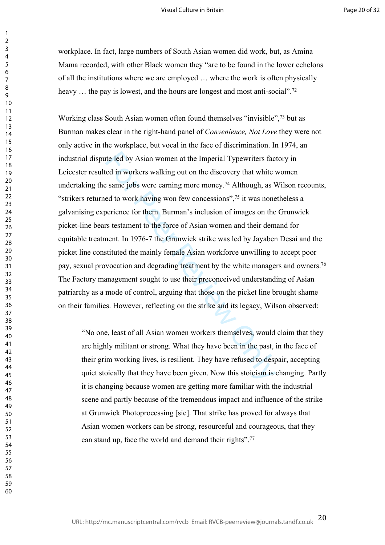workplace. In fact, large numbers of South Asian women did work, but, as Amina Mama recorded, with other Black women they "are to be found in the lower echelons of all the institutions where we are employed … where the work is often physically heavy ... the pay is lowest, and the hours are longest and most anti-social".<sup>72</sup>

tte led by Asian women at the Imperial Typewriters faced in workers walking out on the discovery that white v same jobs were earning more money.<sup>74</sup> Although, as V ed to work having won few concessions",<sup>75</sup> it was none be Working class South Asian women often found themselves "invisible",<sup>73</sup> but as Burman makes clear in the right-hand panel of *Convenience, Not Love* they were not only active in the workplace, but vocal in the face of discrimination. In 1974, an industrial dispute led by Asian women at the Imperial Typewriters factory in Leicester resulted in workers walking out on the discovery that white women undertaking the same jobs were earning more money.<sup>74</sup> Although, as Wilson recounts, "strikers returned to work having won few concessions",<sup>75</sup> it was nonetheless a galvanising experience for them. Burman's inclusion of images on the Grunwick picket-line bears testament to the force of Asian women and their demand for equitable treatment. In 1976-7 the Grunwick strike was led by Jayaben Desai and the picket line constituted the mainly female Asian workforce unwilling to accept poor pay, sexual provocation and degrading treatment by the white managers and owners.<sup>76</sup> The Factory management sought to use their preconceived understanding of Asian patriarchy as a mode of control, arguing that those on the picket line brought shame on their families. However, reflecting on the strike and its legacy, Wilson observed:

"No one, least of all Asian women workers themselves, would claim that they are highly militant or strong. What they have been in the past, in the face of their grim working lives, is resilient. They have refused to despair, accepting quiet stoically that they have been given. Now this stoicism is changing. Partly it is changing because women are getting more familiar with the industrial scene and partly because of the tremendous impact and influence of the strike at Grunwick Photoprocessing [sic]. That strike has proved for always that Asian women workers can be strong, resourceful and courageous, that they can stand up, face the world and demand their rights".<sup>77</sup>

 $\mathbf{1}$  $\overline{2}$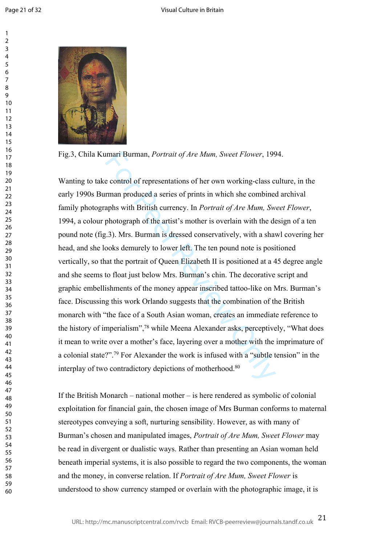$\mathbf{1}$  $\overline{2}$  $\overline{3}$  $\overline{4}$  $\overline{7}$  $\mathsf{o}$ 



Fig.3, Chila Kumari Burman, *Portrait of Are Mum, Sweet Flower*, 1994.

imari Burman, *Portrait of Are Mum*, *Sweet Flower*, 199<br>e control of representations of her own working-class c<br>man produced a series of prints in which she combineary<br>aphs with British currency. In *Portrait of Are Mum* Wanting to take control of representations of her own working-class culture, in the early 1990s Burman produced a series of prints in which she combined archival family photographs with British currency. In *Portrait of Are Mum, Sweet Flower*, 1994, a colour photograph of the artist's mother is overlain with the design of a ten pound note (fig.3). Mrs. Burman is dressed conservatively, with a shawl covering her head, and she looks demurely to lower left. The ten pound note is positioned vertically, so that the portrait of Queen Elizabeth II is positioned at a 45 degree angle and she seems to float just below Mrs. Burman's chin. The decorative script and graphic embellishments of the money appear inscribed tattoo-like on Mrs. Burman's face. Discussing this work Orlando suggests that the combination of the British monarch with "the face of a South Asian woman, creates an immediate reference to the history of imperialism",<sup>78</sup> while Meena Alexander asks, perceptively, "What does it mean to write over a mother's face, layering over a mother with the imprimature of a colonial state?".<sup>79</sup> For Alexander the work is infused with a "subtle tension" in the interplay of two contradictory depictions of motherhood.<sup>80</sup>

If the British Monarch – national mother – is here rendered as symbolic of colonial exploitation for financial gain, the chosen image of Mrs Burman conforms to maternal stereotypes conveying a soft, nurturing sensibility. However, as with many of Burman's chosen and manipulated images, *Portrait of Are Mum, Sweet Flower* may be read in divergent or dualistic ways. Rather than presenting an Asian woman held beneath imperial systems, it is also possible to regard the two components, the woman and the money, in converse relation. If *Portrait of Are Mum, Sweet Flower* is understood to show currency stamped or overlain with the photographic image, it is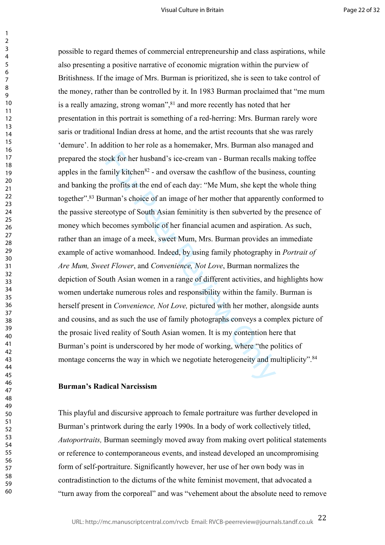book for her husband's ice-cream van - Burman recalls n<br>mily kitchen<sup>82</sup> - and oversaw the cashflow of the busine<br>e profits at the end of each day: "Me Mum, she kept the<br>rman's choice of an image of her mother that apparen possible to regard themes of commercial entrepreneurship and class aspirations, while also presenting a positive narrative of economic migration within the purview of Britishness. If the image of Mrs. Burman is prioritized, she is seen to take control of the money, rather than be controlled by it. In 1983 Burman proclaimed that "me mum is a really amazing, strong woman",<sup>81</sup> and more recently has noted that her presentation in this portrait is something of a red-herring: Mrs. Burman rarely wore saris or traditional Indian dress at home, and the artist recounts that she was rarely 'demure'. In addition to her role as a homemaker, Mrs. Burman also managed and prepared the stock for her husband's ice-cream van - Burman recalls making toffee apples in the family kitchen $82$  - and oversaw the cashflow of the business, counting and banking the profits at the end of each day: "Me Mum, she kept the whole thing together".<sup>83</sup> Burman's choice of an image of her mother that apparently conformed to the passive stereotype of South Asian feminitity is then subverted by the presence of money which becomes symbolic of her financial acumen and aspiration. As such, rather than an image of a meek, sweet Mum, Mrs. Burman provides an immediate example of active womanhood. Indeed, by using family photography in *Portrait of Are Mum, Sweet Flower*, and *Convenience, Not Love*, Burman normalizes the depiction of South Asian women in a range of different activities, and highlights how women undertake numerous roles and responsibility within the family. Burman is herself present in *Convenience, Not Love,* pictured with her mother, alongside aunts and cousins, and as such the use of family photographs conveys a complex picture of the prosaic lived reality of South Asian women. It is my contention here that Burman's point is underscored by her mode of working, where "the politics of montage concerns the way in which we negotiate heterogeneity and multiplicity".<sup>84</sup>

# **Burman's Radical Narcissism**

This playful and discursive approach to female portraiture was further developed in Burman's printwork during the early 1990s. In a body of work collectively titled, *Autoportraits,* Burman seemingly moved away from making overt political statements or reference to contemporaneous events, and instead developed an uncompromising form of self-portraiture. Significantly however, her use of her own body was in contradistinction to the dictums of the white feminist movement, that advocated a "turn away from the corporeal" and was "vehement about the absolute need to remove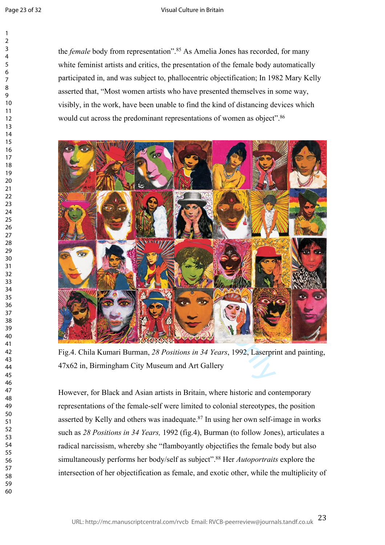$\mathbf{1}$  $\overline{2}$  $\overline{\mathbf{3}}$  $\overline{4}$  $\overline{7}$ 

the *female* body from representation".<sup>85</sup> As Amelia Jones has recorded, for many white feminist artists and critics, the presentation of the female body automatically participated in, and was subject to, phallocentric objectification; In 1982 Mary Kelly asserted that, "Most women artists who have presented themselves in some way, visibly, in the work, have been unable to find the kind of distancing devices which would cut across the predominant representations of women as object".<sup>86</sup>



Fig.4. Chila Kumari Burman, *28 Positions in 34 Years*, 1992, Laserprint and painting, 47x62 in, Birmingham City Museum and Art Gallery

However, for Black and Asian artists in Britain, where historic and contemporary representations of the female-self were limited to colonial stereotypes, the position asserted by Kelly and others was inadequate.<sup>87</sup> In using her own self-image in works such as *28 Positions in 34 Years,* 1992 (fig.4), Burman (to follow Jones), articulates a radical narcissism, whereby she "flamboyantly objectifies the female body but also simultaneously performs her body/self as subject".<sup>88</sup> Her *Autoportraits* explore the intersection of her objectification as female, and exotic other, while the multiplicity of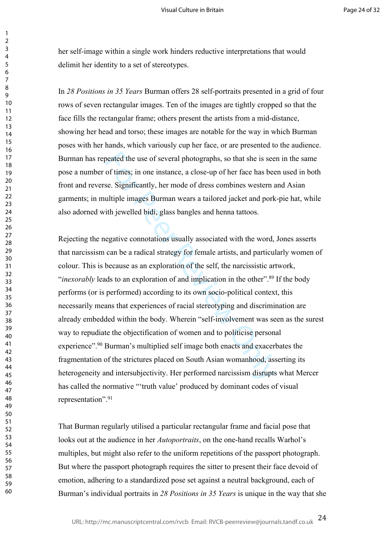her self-image within a single work hinders reductive interpretations that would delimit her identity to a set of stereotypes.

In *28 Positions in 35 Years* Burman offers 28 self-portraits presented in a grid of four rows of seven rectangular images. Ten of the images are tightly cropped so that the face fills the rectangular frame; others present the artists from a mid-distance, showing her head and torso; these images are notable for the way in which Burman poses with her hands, which variously cup her face, or are presented to the audience. Burman has repeated the use of several photographs, so that she is seen in the same pose a number of times; in one instance, a close-up of her face has been used in both front and reverse. Significantly, her mode of dress combines western and Asian garments; in multiple images Burman wears a tailored jacket and pork-pie hat, while also adorned with jewelled bidi, glass bangles and henna tattoos.

beated the use of several photographs, so that she is see<br>of times; in one instance, a close-up of her face has bee<br>e. Significantly, her mode of dress combines western a<br>ultiple images Burman wears a tailored jacket and p Rejecting the negative connotations usually associated with the word, Jones asserts that narcissism can be a radical strategy for female artists, and particularly women of colour. This is because as an exploration of the self, the narcissistic artwork,<br>"*inexorably* leads to an exploration of and implication in the other".<sup>89</sup> If the body performs (or is performed) according to its own socio-political context, this necessarily means that experiences of racial stereotyping and discrimination are already embedded within the body. Wherein "self-involvement was seen as the surest way to repudiate the objectification of women and to politicise personal experience".<sup>90</sup> Burman's multiplied self image both enacts and exacerbates the fragmentation of the strictures placed on South Asian womanhood, asserting its heterogeneity and intersubjectivity. Her performed narcissism disrupts what Mercer has called the normative "'truth value' produced by dominant codes of visual representation".<sup>91</sup>

That Burman regularly utilised a particular rectangular frame and facial pose that looks out at the audience in her *Autoportraits*, on the one-hand recalls Warhol's multiples, but might also refer to the uniform repetitions of the passport photograph. But where the passport photograph requires the sitter to present their face devoid of emotion, adhering to a standardized pose set against a neutral background, each of Burman's individual portraits in *28 Positions in 35 Years* is unique in the way that she

 $\mathbf{1}$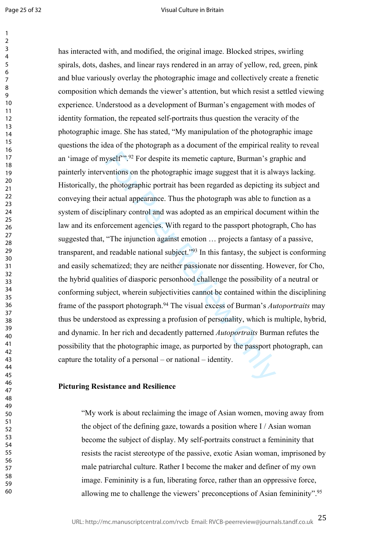Page 25 of 32

 $\mathbf{1}$ 

#### Visual Culture in Britain

yself<sup>79,92</sup> For despite its memetic capture, Burman's grentions on the photographic image suggest that it is alve<br>photographic portrait has been regarded as depicting if actual appearance. Thus the photograph was able to has interacted with, and modified, the original image. Blocked stripes, swirling spirals, dots, dashes, and linear rays rendered in an array of yellow, red, green, pink and blue variously overlay the photographic image and collectively create a frenetic composition which demands the viewer's attention, but which resist a settled viewing experience. Understood as a development of Burman's engagement with modes of identity formation, the repeated self-portraits thus question the veracity of the photographic image. She has stated, "My manipulation of the photographic image questions the idea of the photograph as a document of the empirical reality to reveal an 'image of myself'".<sup>92</sup> For despite its memetic capture, Burman's graphic and painterly interventions on the photographic image suggest that it is always lacking. Historically, the photographic portrait has been regarded as depicting its subject and conveying their actual appearance. Thus the photograph was able to function as a system of disciplinary control and was adopted as an empirical document within the law and its enforcement agencies. With regard to the passport photograph, Cho has suggested that, "The injunction against emotion … projects a fantasy of a passive, transparent, and readable national subject."<sup>93</sup> In this fantasy, the subject is conforming and easily schematized; they are neither passionate nor dissenting. However, for Cho, the hybrid qualities of diasporic personhood challenge the possibility of a neutral or conforming subject, wherein subjectivities cannot be contained within the disciplining frame of the passport photograph.<sup>94</sup> The visual excess of Burman's *Autoportraits* may thus be understood as expressing a profusion of personality, which is multiple, hybrid, and dynamic. In her rich and decadently patterned *Autoportraits* Burman refutes the possibility that the photographic image, as purported by the passport photograph, can capture the totality of a personal – or national – identity.

# **Picturing Resistance and Resilience**

"My work is about reclaiming the image of Asian women, moving away from the object of the defining gaze, towards a position where I / Asian woman become the subject of display. My self-portraits construct a femininity that resists the racist stereotype of the passive, exotic Asian woman, imprisoned by male patriarchal culture. Rather I become the maker and definer of my own image. Femininity is a fun, liberating force, rather than an oppressive force, allowing me to challenge the viewers' preconceptions of Asian femininity".<sup>95</sup>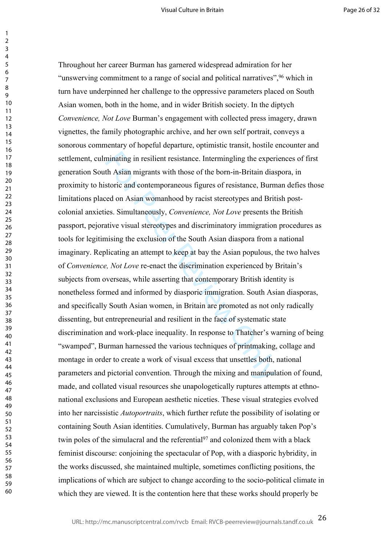minating in resilient resistance. Intermingling the expertional Asian migrants with those of the born-in-Britain diastoric and contemporaneous figures of resistance, Burred on Asian womanhood by racist stereotypes and Brit Throughout her career Burman has garnered widespread admiration for her "unswerving commitment to a range of social and political narratives",<sup>96</sup> which in turn have underpinned her challenge to the oppressive parameters placed on South Asian women, both in the home, and in wider British society. In the diptych *Convenience, Not Love* Burman's engagement with collected press imagery, drawn vignettes, the family photographic archive, and her own self portrait, conveys a sonorous commentary of hopeful departure, optimistic transit, hostile encounter and settlement, culminating in resilient resistance. Intermingling the experiences of first generation South Asian migrants with those of the born-in-Britain diaspora, in proximity to historic and contemporaneous figures of resistance, Burman defies those limitations placed on Asian womanhood by racist stereotypes and British postcolonial anxieties. Simultaneously, *Convenience, Not Love* presents the British passport, pejorative visual stereotypes and discriminatory immigration procedures as tools for legitimising the exclusion of the South Asian diaspora from a national imaginary. Replicating an attempt to keep at bay the Asian populous, the two halves of *Convenience, Not Love* re-enact the discrimination experienced by Britain's subjects from overseas, while asserting that contemporary British identity is nonetheless formed and informed by diasporic immigration. South Asian diasporas, and specifically South Asian women, in Britain are promoted as not only radically dissenting, but entrepreneurial and resilient in the face of systematic state discrimination and work-place inequality. In response to Thatcher's warning of being "swamped", Burman harnessed the various techniques of printmaking, collage and montage in order to create a work of visual excess that unsettles both, national parameters and pictorial convention. Through the mixing and manipulation of found, made, and collated visual resources she unapologetically ruptures attempts at ethnonational exclusions and European aesthetic niceties. These visual strategies evolved into her narcissistic *Autoportraits*, which further refute the possibility of isolating or containing South Asian identities. Cumulatively, Burman has arguably taken Pop's twin poles of the simulacral and the referential<sup>97</sup> and colonized them with a black feminist discourse: conjoining the spectacular of Pop, with a diasporic hybridity, in the works discussed, she maintained multiple, sometimes conflicting positions, the implications of which are subject to change according to the socio-political climate in which they are viewed. It is the contention here that these works should properly be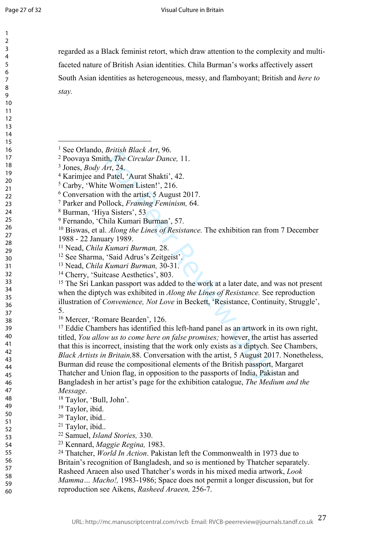$\mathbf{1}$  $\overline{2}$  $\overline{3}$  $\overline{4}$  $\overline{7}$  $\mathsf{Q}$ 

regarded as a Black feminist retort, which draw attention to the complexity and multifaceted nature of British Asian identities. Chila Burman's works affectively assert South Asian identities as heterogeneous, messy, and flamboyant; British and *here to stay.* 

- Nead, *Chila Kumari Burman,* 30-31.
- Cherry, 'Suitcase Aesthetics', 803.

<sup>15</sup> The Sri Lankan passport was added to the work at a later date, and was not present when the diptych was exhibited in *Along the Lines of Resistance.* See reproduction illustration of *Convenience, Not Love* in Beckett, 'Resistance, Continuity, Struggle', 5.

Mercer, 'Romare Bearden', 126.

For Pricklar 2nd, 2011<br>
Int, The Circular Dance, 11.<br>
Int, 24.<br>
Patel, 'Aurat Shakti', 42.<br>
Women Listen!', 216.<br>
with the artist, 5 August 2017.<br>
and Hollock, Framing Feminism, 64.<br>
a Sisters', 53<br>
illa Kumari Burman', 5 <sup>17</sup> Eddie Chambers has identified this left-hand panel as an artwork in its own right, titled, *You allow us to come here on false promises;* however, the artist has asserted that this is incorrect, insisting that the work only exists as a diptych. See Chambers, *Black Artists in Britain,*88. Conversation with the artist, 5 August 2017. Nonetheless, Burman did reuse the compositional elements of the British passport, Margaret Thatcher and Union flag, in opposition to the passports of India, Pakistan and Bangladesh in her artist's page for the exhibition catalogue, *The Medium and the Message* .

 Thatcher, *World In Action*. Pakistan left the Commonwealth in 1973 due to Britain's recognition of Bangladesh, and so is mentioned by Thatcher separately. Rasheed Araeen also used Thatcher's words in his mixed media artwork, *Look Mamma… Macho!,* 1983-1986; Space does not permit a longer discussion, but for reproduction see Aikens, *Rasheed Araeen,* 256-7.

See Orlando, *British Black Art*, 96.

Poovaya Smith, *The Circular Dance,* 11.

Jones, *Body Art*, 24.

Karimjee and Patel, 'Aurat Shakti', 42.

<sup>&</sup>lt;sup>5</sup> Carby, 'White Women Listen!', 216.

Conversation with the artist, 5 August 2017.

Parker and Pollock, *Framing Feminism,* 64.

Burman, 'Hiya Sisters', 53

Fernando, 'Chila Kumari Burman', 57.

 Biswas, et al. *Along the Lines of Resistance.* The exhibition ran from 7 December 1988 - 22 January 1989.

Nead, *Chila Kumari Burman,* 28.

See Sharma, 'Said Adrus's Zeitgeist'.

Taylor, 'Bull, John'.

Taylor, ibid.

Taylor, ibid..

Taylor, ibid..

Samuel, *Island Stories,* 330.

Kennard, *Maggie Regina,* 1983.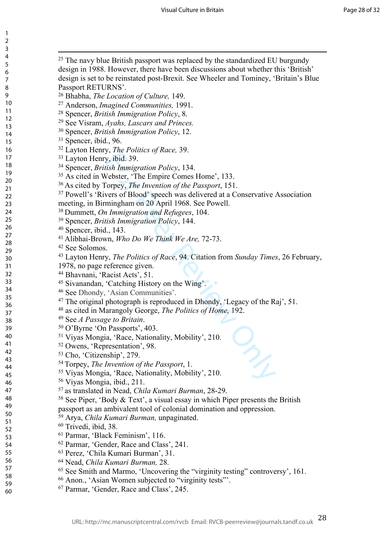| 1<br>$\overline{c}$<br>3<br>4<br>5<br>6<br>7<br>8<br>9<br>10<br>$\overline{11}$<br>$\overline{12}$<br>13 |  |
|----------------------------------------------------------------------------------------------------------|--|
| $\frac{1}{4}$<br>15<br>16<br>17<br>18<br>19<br>20<br>21<br>22 23<br>24 25 26<br>27                       |  |
| 28<br>29<br>30<br>31<br>32<br>33<br>34<br>35<br>36<br>37<br>38<br>39                                     |  |
| 40<br>41<br>42<br>43<br>44<br>45<br>46<br>47<br>48<br>49<br>50<br>51                                     |  |
| 52<br>53<br>54<br>55<br>56<br>57<br>58<br>59<br>60                                                       |  |

| <sup>25</sup> The navy blue British passport was replaced by the standardized EU burgundy                                      |  |
|--------------------------------------------------------------------------------------------------------------------------------|--|
| design in 1988. However, there have been discussions about whether this 'British'                                              |  |
| design is set to be reinstated post-Brexit. See Wheeler and Tominey, 'Britain's Blue                                           |  |
| Passport RETURNS'.                                                                                                             |  |
| <sup>26</sup> Bhabha, <i>The Location of Culture</i> , 149.                                                                    |  |
| <sup>27</sup> Anderson, <i>Imagined Communities</i> , 1991.                                                                    |  |
| <sup>28</sup> Spencer, <i>British Immigration Policy</i> , 8.                                                                  |  |
| <sup>29</sup> See Visram, Ayahs, Lascars and Princes.                                                                          |  |
| <sup>30</sup> Spencer, <i>British Immigration Policy</i> , 12.                                                                 |  |
| <sup>31</sup> Spencer, ibid., 96.                                                                                              |  |
| <sup>32</sup> Layton Henry, <i>The Politics of Race</i> , 39.                                                                  |  |
| <sup>33</sup> Layton Henry, ibid. 39.                                                                                          |  |
| <sup>34</sup> Spencer, <i>British Immigration Policy</i> , 134.                                                                |  |
| <sup>35</sup> As cited in Webster, 'The Empire Comes Home', 133.                                                               |  |
| <sup>36</sup> As cited by Torpey, <i>The Invention of the Passport</i> , 151.                                                  |  |
| <sup>37</sup> Powell's 'Rivers of Blood' speech was delivered at a Conservative Association                                    |  |
| meeting, in Birmingham on 20 April 1968. See Powell.                                                                           |  |
| <sup>38</sup> Dummett, <i>On Immigration and Refugees</i> , 104.                                                               |  |
| <sup>39</sup> Spencer, <i>British Immigration Policy</i> , 144.                                                                |  |
| <sup>40</sup> Spencer, ibid., 143.                                                                                             |  |
| <sup>41</sup> Alibhai-Brown, <i>Who Do We Think We Are</i> , 72-73.                                                            |  |
| <sup>42</sup> See Solomos.                                                                                                     |  |
| <sup>43</sup> Layton Henry, <i>The Politics of Race</i> , 94. Citation from <i>Sunday Times</i> , 26 February,                 |  |
| 1978, no page reference given.                                                                                                 |  |
| <sup>44</sup> Bhavnani, 'Racist Acts', 51.                                                                                     |  |
| <sup>45</sup> Sivanandan, 'Catching History on the Wing'.                                                                      |  |
| <sup>46</sup> See Dhondy, 'Asian Communities'.                                                                                 |  |
| <sup>47</sup> The original photograph is reproduced in Dhondy, 'Legacy of the Raj', 51.                                        |  |
| <sup>48</sup> as cited in Marangoly George, <i>The Politics of Home</i> , 192.                                                 |  |
| <sup>49</sup> See <i>A Passage to Britain</i> .                                                                                |  |
| <sup>50</sup> O'Byrne 'On Passports', 403.                                                                                     |  |
| <sup>51</sup> Viyas Mongia, 'Race, Nationality, Mobility', 210.                                                                |  |
| <sup>52</sup> Owens, 'Representation', 98.                                                                                     |  |
| <sup>53</sup> Cho, 'Citizenship', 279.                                                                                         |  |
| <sup>54</sup> Torpey, <i>The Invention of the Passport</i> , 1.                                                                |  |
| <sup>55</sup> Viyas Mongia, 'Race, Nationality, Mobility', 210.                                                                |  |
| <sup>56</sup> Viyas Mongia, ibid., 211.                                                                                        |  |
| <sup>57</sup> as translated in Nead, <i>Chila Kumari Burman</i> , 28-29.                                                       |  |
| <sup>58</sup> See Piper, 'Body & Text', a visual essay in which Piper presents the British                                     |  |
|                                                                                                                                |  |
| passport as an ambivalent tool of colonial domination and oppression.<br><sup>59</sup> Arya, Chila Kumari Burman, unpaginated. |  |
|                                                                                                                                |  |
| $60$ Trivedi, ibid, 38.                                                                                                        |  |
| <sup>61</sup> Parmar, 'Black Feminism', 116.                                                                                   |  |
| <sup>62</sup> Parmar, 'Gender, Race and Class', 241.                                                                           |  |
| 63 Perez, 'Chila Kumari Burman', 31.                                                                                           |  |
| <sup>64</sup> Nead, Chila Kumari Burman, 28.                                                                                   |  |
| <sup>65</sup> See Smith and Marmo, 'Uncovering the "virginity testing" controversy', 161.                                      |  |
| <sup>66</sup> Anon., 'Asian Women subjected to "virginity tests"".                                                             |  |
| <sup>67</sup> Parmar, 'Gender, Race and Class', 245.                                                                           |  |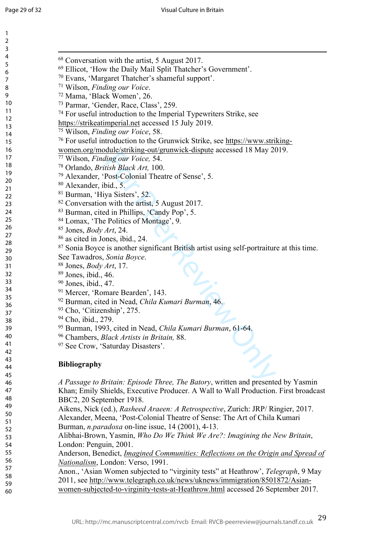| $\mathbf{1}$   |                                                                                           |
|----------------|-------------------------------------------------------------------------------------------|
| $\overline{2}$ |                                                                                           |
| 3              |                                                                                           |
| 4              | <sup>68</sup> Conversation with the artist, 5 August 2017.                                |
| 5              | <sup>69</sup> Ellicot, 'How the Daily Mail Split Thatcher's Government'.                  |
| 6              |                                                                                           |
| 7              | 70 Evans, 'Margaret Thatcher's shameful support'.                                         |
| 8              | 71 Wilson, Finding our Voice.                                                             |
| 9              | 72 Mama, 'Black Women', 26.                                                               |
| 10             | <sup>73</sup> Parmar, 'Gender, Race, Class', 259.                                         |
| 11             | <sup>74</sup> For useful introduction to the Imperial Typewriters Strike, see             |
| 12             | https://strikeatimperial.net accessed 15 July 2019.                                       |
| 13             | <sup>75</sup> Wilson, Finding our Voice, 58.                                              |
| 14             | <sup>76</sup> For useful introduction to the Grunwick Strike, see https://www.striking-   |
| 15             |                                                                                           |
| 16             | women.org/module/striking-out/grunwick-dispute accessed 18 May 2019.                      |
| 17             | 77 Wilson, Finding our Voice, 54.                                                         |
| 18             | <sup>78</sup> Orlando, <i>British Black Art</i> , 100.                                    |
| 19<br>20       | <sup>79</sup> Alexander, 'Post-Colonial Theatre of Sense', 5.                             |
| 21             | <sup>80</sup> Alexander, ibid., 5.                                                        |
| 22             | <sup>81</sup> Burman, 'Hiya Sisters', 52.                                                 |
| 23             | <sup>82</sup> Conversation with the artist, 5 August 2017.                                |
| 24             | <sup>83</sup> Burman, cited in Phillips, 'Candy Pop', 5.                                  |
| 25             |                                                                                           |
| 26             | <sup>84</sup> Lomax, 'The Politics of Montage', 9.                                        |
| 27             | <sup>85</sup> Jones, <i>Body Art</i> , 24.                                                |
| 28             | <sup>86</sup> as cited in Jones, ibid., 24.                                               |
| 29             | 87 Sonia Boyce is another significant British artist using self-portraiture at this time. |
| 30             | See Tawadros, Sonia Boyce.                                                                |
| 31             | <sup>88</sup> Jones, <i>Body Art</i> , 17.                                                |
| 32             | $89$ Jones, ibid., 46.                                                                    |
| 33             | <sup>90</sup> Jones, ibid., 47.                                                           |
| 34             | <sup>91</sup> Mercer, 'Romare Bearden', 143.                                              |
| 35             |                                                                                           |
| 36             | 92 Burman, cited in Nead, Chila Kumari Burman, 46.                                        |
| 37             | <sup>93</sup> Cho, 'Citizenship', 275.                                                    |
| 38             | 94 Cho, ibid., 279.                                                                       |
| 39             | 95 Burman, 1993, cited in Nead, Chila Kumari Burman, 61-64.                               |
| 40             | <sup>96</sup> Chambers, <i>Black Artists in Britain</i> , 88.                             |
| 41             | 97 See Crow, 'Saturday Disasters'.                                                        |
| 42             |                                                                                           |
| 43             | <b>Bibliography</b>                                                                       |
| 44             |                                                                                           |
| 45             |                                                                                           |
| 46             | A Passage to Britain: Episode Three, The Batory, written and presented by Yasmin          |
| 47             | Khan; Emily Shields, Executive Producer. A Wall to Wall Production. First broadcast       |
| 48             | BBC2, 20 September 1918.                                                                  |
| 49             | Aikens, Nick (ed.), Rasheed Araeen: A Retrospective, Zurich: JRP/ Ringier, 2017.          |
| 50             | $1 \mathcal{M}$ (D $(A \cup A, 1, 1 \cup T)$ ) (C T $(A \cup C)$ ) $I$                    |

Alexander, Meena, 'Post-Colonial Theatre of Sense: The Art of Chila Kumari Burman, *n.paradoxa* on-line issue, 14 (2001), 4-13.

Alibhai-Brown, Yasmin, *Who Do We Think We Are?: Imagining the New Britain*, London: Penguin, 2001.

Anderson, Benedict, *Imagined Communities: Reflections on the Origin and Spread of Nationalism*, London: Verso, 1991.

Anon., 'Asian Women subjected to "virginity tests" at Heathrow', *Telegraph*, 9 May 2011, see [http://www.telegraph.co.uk/news/uknews/immigration/8501872/Asian](http://www.telegraph.co.uk/news/uknews/immigration/8501872/Asian-women-subjected-to-virginity-tests-at-Heathrow.html)[women-subjected-to-virginity-tests-at-Heathrow.html](http://www.telegraph.co.uk/news/uknews/immigration/8501872/Asian-women-subjected-to-virginity-tests-at-Heathrow.html) accessed 26 September 2017.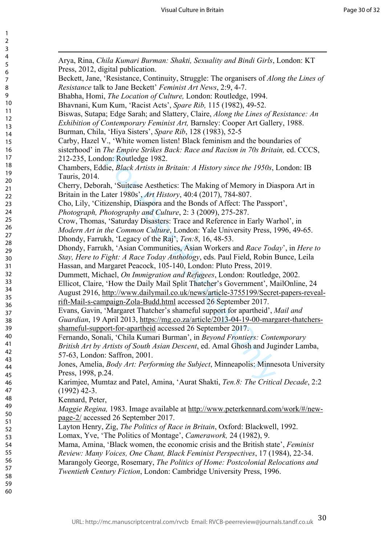| Arya, Rina, Chila Kumari Burman: Shakti, Sexuality and Bindi Girls, London: KT<br>Press, 2012, digital publication.                                   |
|-------------------------------------------------------------------------------------------------------------------------------------------------------|
| Beckett, Jane, 'Resistance, Continuity, Struggle: The organisers of Along the Lines of                                                                |
| Resistance talk to Jane Beckett' Feminist Art News, 2:9, 4-7.                                                                                         |
| Bhabha, Homi, The Location of Culture, London: Routledge, 1994.                                                                                       |
| Bhavnani, Kum Kum, 'Racist Acts', Spare Rib, 115 (1982), 49-52.                                                                                       |
| Biswas, Sutapa; Edge Sarah; and Slattery, Claire, Along the Lines of Resistance: An                                                                   |
| Exhibition of Contemporary Feminist Art, Barnsley: Cooper Art Gallery, 1988.                                                                          |
| Burman, Chila, 'Hiya Sisters', Spare Rib, 128 (1983), 52-5                                                                                            |
| Carby, Hazel V., 'White women listen! Black feminism and the boundaries of                                                                            |
| sisterhood' in The Empire Strikes Back: Race and Racism in 70s Britain, ed. CCCS,                                                                     |
| 212-235, London: Routledge 1982.                                                                                                                      |
| Chambers, Eddie, Black Artists in Britain: A History since the 1950s, London: IB                                                                      |
| Tauris, 2014.                                                                                                                                         |
| Cherry, Deborah, 'Suitcase Aesthetics: The Making of Memory in Diaspora Art in                                                                        |
| Britain in the Later 1980s', Art History, 40:4 (2017), 784-807.                                                                                       |
| Cho, Lily, 'Citizenship, Diaspora and the Bonds of Affect: The Passport',                                                                             |
| Photograph, Photography and Culture, 2: 3 (2009), 275-287.                                                                                            |
| Crow, Thomas, 'Saturday Disasters: Trace and Reference in Early Warhol', in                                                                           |
| Modern Art in the Common Culture, London: Yale University Press, 1996, 49-65.                                                                         |
| Dhondy, Farrukh, 'Legacy of the Raj', Ten:8, 16, 48-53.                                                                                               |
| Dhondy, Farrukh, 'Asian Communities, Asian Workers and Race Today', in Here to                                                                        |
| Stay, Here to Fight: A Race Today Anthology, eds. Paul Field, Robin Bunce, Leila<br>Hassan, and Margaret Peacock, 105-140, London: Pluto Press, 2019. |
| Dummett, Michael, On Immigration and Refugees, London: Routledge, 2002.                                                                               |
| Ellicot, Claire, 'How the Daily Mail Split Thatcher's Government', MailOnline, 24                                                                     |
| August 2916, http://www.dailymail.co.uk/news/article-3755199/Secret-papers-reveal-                                                                    |
| rift-Mail-s-campaign-Zola-Budd.html accessed 26 September 2017.                                                                                       |
| Evans, Gavin, 'Margaret Thatcher's shameful support for apartheid', Mail and                                                                          |
| Guardian, 19 April 2013, https://mg.co.za/article/2013-04-19-00-margaret-thatchers-                                                                   |
| shameful-support-for-apartheid accessed 26 September 2017.                                                                                            |
| Fernando, Sonali, 'Chila Kumari Burman', in Beyond Frontiers: Contemporary                                                                            |
| British Art by Artists of South Asian Descent, ed. Amal Ghosh and Juginder Lamba,                                                                     |
| 57-63, London: Saffron, 2001.                                                                                                                         |
| Jones, Amelia, <i>Body Art: Performing the Subject</i> , Minneapolis: Minnesota University                                                            |
| Press, 1998, p.24.                                                                                                                                    |
| Karimjee, Mumtaz and Patel, Amina, 'Aurat Shakti, Ten.8: The Critical Decade, 2:2<br>$(1992)$ 42-3.                                                   |
| Kennard, Peter,                                                                                                                                       |
| Maggie Regina, 1983. Image available at http://www.peterkennard.com/work/#/new-                                                                       |
| page-2/ accessed 26 September 2017.                                                                                                                   |
| Layton Henry, Zig, The Politics of Race in Britain, Oxford: Blackwell, 1992.                                                                          |
| Lomax, Yve, 'The Politics of Montage', Camerawork, 24 (1982), 9.                                                                                      |
| Mama, Amina, 'Black women, the economic crisis and the British state', Feminist                                                                       |
| Review: Many Voices, One Chant, Black Feminist Perspectives, 17 (1984), 22-34.                                                                        |
| Marangoly George, Rosemary, The Politics of Home: Postcolonial Relocations and                                                                        |
| <b>Twentieth Century Fiction, London: Cambridge University Press, 1996.</b>                                                                           |
|                                                                                                                                                       |
|                                                                                                                                                       |

 $\mathbf{1}$  $\overline{2}$  $\overline{3}$  $\overline{4}$ 5 6  $\overline{7}$ 8  $\overline{9}$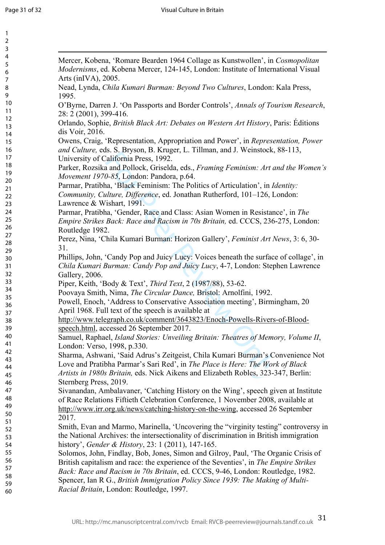$\overline{1}$ 

| $\mathbf{1}$            |                                                                                       |
|-------------------------|---------------------------------------------------------------------------------------|
| $\overline{\mathbf{c}}$ |                                                                                       |
| 3                       |                                                                                       |
| 4                       | Mercer, Kobena, 'Romare Bearden 1964 Collage as Kunstwollen', in Cosmopolitan         |
| 5                       | Modernisms, ed. Kobena Mercer, 124-145, London: Institute of International Visual     |
| 6                       | Arts (in $[VA]$ , 2005.                                                               |
| $\boldsymbol{7}$        |                                                                                       |
| 8                       | Nead, Lynda, Chila Kumari Burman: Beyond Two Cultures, London: Kala Press,            |
| 9                       | 1995.                                                                                 |
| 10                      | O'Byrne, Darren J. 'On Passports and Border Controls', Annals of Tourism Research,    |
| 11                      | 28: 2 (2001), 399-416.                                                                |
| 12                      | Orlando, Sophie, British Black Art: Debates on Western Art History, Paris: Éditions   |
| 13                      | dis Voir, 2016.                                                                       |
| 14                      | Owens, Craig, 'Representation, Appropriation and Power', in Representation, Power     |
| 15                      |                                                                                       |
| 16<br>17                | and Culture, eds. S. Bryson, B. Kruger, L. Tillman, and J. Weinstock, 88-113,         |
| 18                      | University of California Press, 1992.                                                 |
| 19                      | Parker, Rozsika and Pollock, Griselda, eds., Framing Feminism: Art and the Women's    |
| 20                      | Movement 1970-85, London: Pandora, p.64.                                              |
| 21                      | Parmar, Pratibha, 'Black Feminism: The Politics of Articulation', in Identity:        |
| 22                      | Community, Culture, Difference, ed. Jonathan Rutherford, 101-126, London:             |
| 23                      | Lawrence & Wishart, 1991.                                                             |
| 24                      | Parmar, Pratibha, 'Gender, Race and Class: Asian Women in Resistance', in The         |
| 25                      | Empire Strikes Back: Race and Racism in 70s Britain, ed. CCCS, 236-275, London:       |
| 26                      |                                                                                       |
| 27                      | Routledge 1982.                                                                       |
| 28                      | Perez, Nina, 'Chila Kumari Burman: Horizon Gallery', Feminist Art News, 3: 6, 30-     |
| 29                      | 31.                                                                                   |
| 30                      | Phillips, John, 'Candy Pop and Juicy Lucy: Voices beneath the surface of collage', in |
| 31                      | Chila Kumari Burman: Candy Pop and Juicy Lucy, 4-7, London: Stephen Lawrence          |
| 32                      | Gallery, 2006.                                                                        |
| 33                      | Piper, Keith, 'Body & Text', Third Text, 2 (1987/88), 53-62.                          |
| 34                      | Poovaya Smith, Nima, The Circular Dance, Bristol: Arnolfini, 1992.                    |
| 35                      |                                                                                       |
| 36                      | Powell, Enoch, 'Address to Conservative Association meeting', Birmingham, 20          |
| 37                      | April 1968. Full text of the speech is available at                                   |
| 38                      | http://www.telegraph.co.uk/comment/3643823/Enoch-Powells-Rivers-of-Blood-             |
| 39                      | speech.html, accessed 26 September 2017.                                              |
| 40                      | Samuel, Raphael, Island Stories: Unveiling Britain: Theatres of Memory, Volume II,    |
| 41                      | London: Verso, 1998, p.330.                                                           |
| 42                      | Sharma, Ashwani, 'Said Adrus's Zeitgeist, Chila Kumari Burman's Convenience Not       |
| 43                      | Love and Pratibha Parmar's Sari Red', in The Place is Here: The Work of Black         |
| 44                      |                                                                                       |
| 45                      | Artists in 1980s Britain, eds. Nick Aikens and Elizabeth Robles, 323-347, Berlin:     |
| 46                      | Sternberg Press, 2019.                                                                |
| 47                      | Sivanandan, Ambalavaner, 'Catching History on the Wing', speech given at Institute    |
| 48                      | of Race Relations Fiftieth Celebration Conference, 1 November 2008, available at      |
| 49                      | http://www.irr.org.uk/news/catching-history-on-the-wing, accessed 26 September        |
| 50                      | 2017.                                                                                 |
| 51                      | Smith, Evan and Marmo, Marinella, 'Uncovering the "virginity testing" controversy in  |
| 52                      | the National Archives: the intersectionality of discrimination in British immigration |
| 53                      |                                                                                       |
| 54                      | history', Gender & History, 23: 1 (2011), 147-165.                                    |
| 55                      | Solomos, John, Findlay, Bob, Jones, Simon and Gilroy, Paul, 'The Organic Crisis of    |
| 56                      | British capitalism and race: the experience of the Seventies', in The Empire Strikes  |
| 57<br>58                | Back: Race and Racism in 70s Britain, ed. CCCS, 9-46, London: Routledge, 1982.        |
| 59                      | Spencer, Ian R G., British Immigration Policy Since 1939: The Making of Multi-        |
| 60                      | Racial Britain, London: Routledge, 1997.                                              |
|                         |                                                                                       |